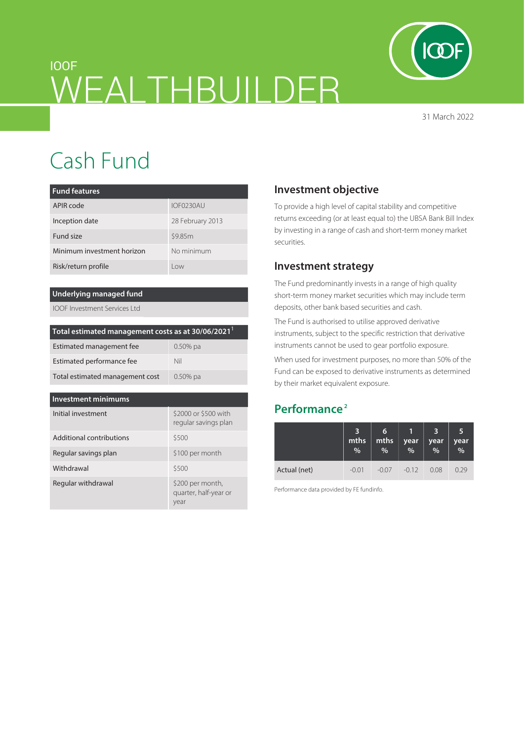

31 March 2022

# IOOF WEALTHBUILDER

Cash Fund

| <b>Fund features</b>       |                  |  |  |  |  |
|----------------------------|------------------|--|--|--|--|
| APIR code                  | IOF0230AU        |  |  |  |  |
| Inception date             | 28 February 2013 |  |  |  |  |
| Fund size                  | \$9.85m          |  |  |  |  |
| Minimum investment horizon | No minimum       |  |  |  |  |
| Risk/return profile        | I OW             |  |  |  |  |

#### **Underlying managed fund**

IOOF Investment Services Ltd

| Total estimated management costs as at 30/06/2021 <sup>1</sup> |             |  |  |  |
|----------------------------------------------------------------|-------------|--|--|--|
| Estimated management fee                                       | $0.50\%$ pa |  |  |  |
| Estimated performance fee                                      | Nil         |  |  |  |
| Total estimated management cost                                | $0.50\%$ pa |  |  |  |

#### **Investment minimums**

| Initial investment       | \$2000 or \$500 with<br>regular savings plan      |  |  |
|--------------------------|---------------------------------------------------|--|--|
| Additional contributions | \$500                                             |  |  |
| Regular savings plan     | \$100 per month                                   |  |  |
| Withdrawal               | \$500                                             |  |  |
| Regular withdrawal       | \$200 per month,<br>quarter, half-year or<br>year |  |  |

# **Investment objective**

To provide a high level of capital stability and competitive returns exceeding (or at least equal to) the UBSA Bank Bill Index by investing in a range of cash and short-term money market securities.

## **Investment strategy**

The Fund predominantly invests in a range of high quality short-term money market securities which may include term deposits, other bank based securities and cash.

The Fund is authorised to utilise approved derivative instruments, subject to the specific restriction that derivative instruments cannot be used to gear portfolio exposure.

When used for investment purposes, no more than 50% of the Fund can be exposed to derivative instruments as determined by their market equivalent exposure.

# **Performance 2**

|              | mths<br>% | 6<br>mths<br>% | year<br>% | year<br>% | 5<br>year<br>% |
|--------------|-----------|----------------|-----------|-----------|----------------|
| Actual (net) | $-0.01$   | -0.07          | $-0.12$   | 0.08      | በ 29           |

Performance data provided by FE fundinfo.